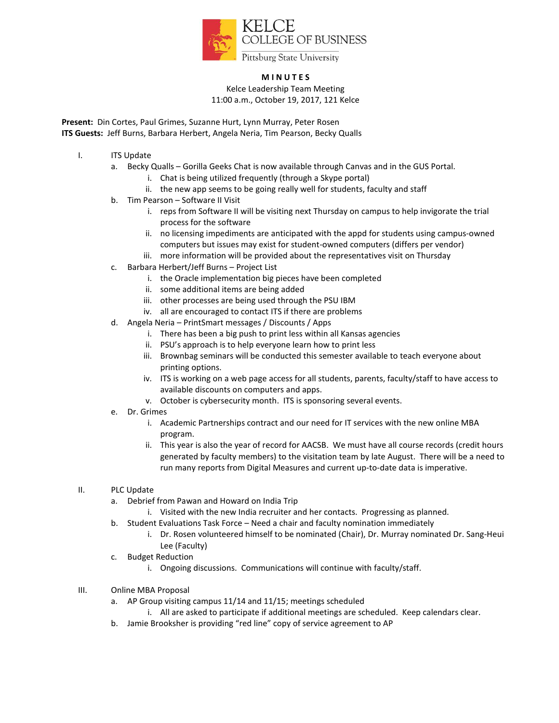

## **M I N U T E S**

Kelce Leadership Team Meeting 11:00 a.m., October 19, 2017, 121 Kelce

**Present:** Din Cortes, Paul Grimes, Suzanne Hurt, Lynn Murray, Peter Rosen **ITS Guests:** Jeff Burns, Barbara Herbert, Angela Neria, Tim Pearson, Becky Qualls

- I. ITS Update
	- a. Becky Qualls Gorilla Geeks Chat is now available through Canvas and in the GUS Portal.
		- i. Chat is being utilized frequently (through a Skype portal)
		- ii. the new app seems to be going really well for students, faculty and staff
	- b. Tim Pearson Software II Visit
		- i. reps from Software II will be visiting next Thursday on campus to help invigorate the trial process for the software
		- ii. no licensing impediments are anticipated with the appd for students using campus-owned computers but issues may exist for student-owned computers (differs per vendor)
		- iii. more information will be provided about the representatives visit on Thursday
	- c. Barbara Herbert/Jeff Burns Project List
		- i. the Oracle implementation big pieces have been completed
		- ii. some additional items are being added
		- iii. other processes are being used through the PSU IBM
		- iv. all are encouraged to contact ITS if there are problems
	- d. Angela Neria PrintSmart messages / Discounts / Apps
		- i. There has been a big push to print less within all Kansas agencies
		- ii. PSU's approach is to help everyone learn how to print less
		- iii. Brownbag seminars will be conducted this semester available to teach everyone about printing options.
		- iv. ITS is working on a web page access for all students, parents, faculty/staff to have access to available discounts on computers and apps.
		- v. October is cybersecurity month. ITS is sponsoring several events.
	- e. Dr. Grimes
		- i. Academic Partnerships contract and our need for IT services with the new online MBA program.
		- ii. This year is also the year of record for AACSB. We must have all course records (credit hours generated by faculty members) to the visitation team by late August. There will be a need to run many reports from Digital Measures and current up-to-date data is imperative.

## II. PLC Update

- a. Debrief from Pawan and Howard on India Trip
	- i. Visited with the new India recruiter and her contacts. Progressing as planned.
- b. Student Evaluations Task Force Need a chair and faculty nomination immediately
	- i. Dr. Rosen volunteered himself to be nominated (Chair), Dr. Murray nominated Dr. Sang-Heui Lee (Faculty)
- c. Budget Reduction
	- i. Ongoing discussions. Communications will continue with faculty/staff.
- III. Online MBA Proposal
	- a. AP Group visiting campus 11/14 and 11/15; meetings scheduled
		- i. All are asked to participate if additional meetings are scheduled. Keep calendars clear.
	- b. Jamie Brooksher is providing "red line" copy of service agreement to AP